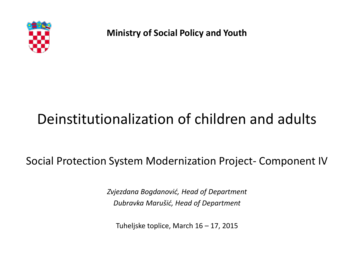

**Ministry of Social Policy and Youth**

# Deinstitutionalization of children and adults

Social Protection System Modernization Project- Component IV

*Zvjezdana Bogdanović, Head of Department Dubravka Marušić, Head of Department*

Tuheljske toplice, March 16 – 17, 2015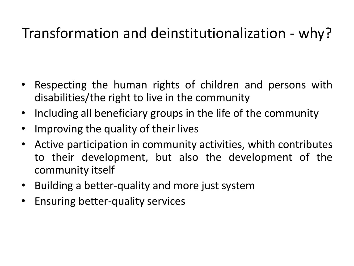# Transformation and deinstitutionalization - why?

- Respecting the human rights of children and persons with disabilities/the right to live in the community
- Including all beneficiary groups in the life of the community
- Improving the quality of their lives
- Active participation in community activities, whith contributes to their development, but also the development of the community itself
- Building a better-quality and more just system
- Ensuring better-quality services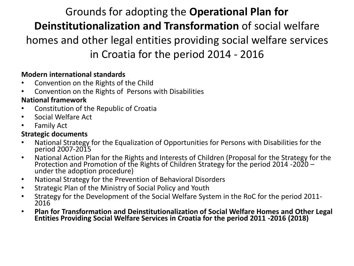## Grounds for adopting the **Operational Plan for Deinstitutionalization and Transformation** of social welfare homes and other legal entities providing social welfare services in Croatia for the period 2014 - 2016

#### **Modern international standards**

- Convention on the Rights of the Child
- Convention on the Rights of Persons with Disabilities

#### **National framework**

- Constitution of the Republic of Croatia
- Social Welfare Act
- **Family Act**

#### **Strategic documents**

- National Strategy for the Equalization of Opportunities for Persons with Disabilities for the period 2007-2015
- National Action Plan for the Rights and Interests of Children (Proposal for the Strategy for the Protection and Promotion of the Rights of Children Strategy for the period 2014 -2020 – under the adoption procedure)
- National Strategy for the Prevention of Behavioral Disorders
- Strategic Plan of the Ministry of Social Policy and Youth
- Strategy for the Development of the Social Welfare System in the RoC for the period 2011- 2016
- **Plan for Transformation and Deinstitutionalization of Social Welfare Homes and Other Legal Entities Providing Social Welfare Services in Croatia for the period 2011 -2016 (2018)**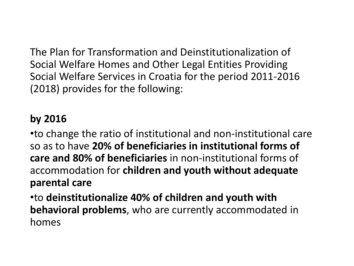The Plan for Transformation and Deinstitutionalization of Social Welfare Homes and Other Legal Entities Providing Social Welfare Services in Croatia for the period 2011-2016 (2018) provides for the following:

## **by 2016**

•to change the ratio of institutional and non-institutional care so as to have **20% of beneficiaries in institutional forms of care and 80% of beneficiaries** in non-institutional forms of accommodation for **children and youth without adequate parental care**

•to **deinstitutionalize 40% of children and youth with behavioral problems**, who are currently accommodated in homes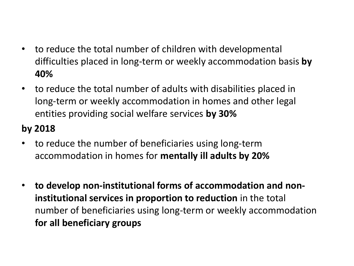- to reduce the total number of children with developmental difficulties placed in long-term or weekly accommodation basis **by 40%**
- to reduce the total number of adults with disabilities placed in long-term or weekly accommodation in homes and other legal entities providing social welfare services **by 30%**

### **by 2018**

- to reduce the number of beneficiaries using long-term accommodation in homes for **mentally ill adults by 20%**
- **to develop non-institutional forms of accommodation and noninstitutional services in proportion to reduction** in the total number of beneficiaries using long-term or weekly accommodation **for all beneficiary groups**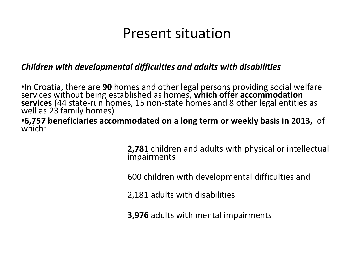## Present situation

#### *Children with developmental difficulties and adults with disabilities*

•In Croatia, there are **90** homes and other legal persons providing social welfare services without being established as homes, **which offer accommodation services** (44 state-run homes, 15 non-state homes and 8 other legal entities as well as 23 family homes)

•**6,757 beneficiaries accommodated on a long term or weekly basis in 2013,** of which:

> **2,781** children and adults with physical or intellectual impairments

600 children with developmental difficulties and

2,181 adults with disabilities

**3,976** adults with mental impairments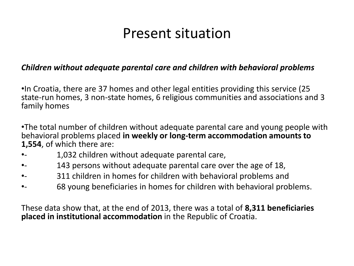# Present situation

#### *Children without adequate parental care and children with behavioral problems*

•In Croatia, there are 37 homes and other legal entities providing this service (25 state-run homes, 3 non-state homes, 6 religious communities and associations and 3 family homes

•The total number of children without adequate parental care and young people with behavioral problems placed **in weekly or long-term accommodation amounts to 1,554**, of which there are:

- •- 1,032 children without adequate parental care,
- •- 143 persons without adequate parental care over the age of 18,
- •- 311 children in homes for children with behavioral problems and
- •- 68 young beneficiaries in homes for children with behavioral problems.

These data show that, at the end of 2013, there was a total of **8,311 beneficiaries placed in institutional accommodation** in the Republic of Croatia.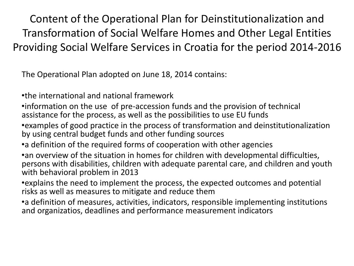Content of the Operational Plan for Deinstitutionalization and Transformation of Social Welfare Homes and Other Legal Entities Providing Social Welfare Services in Croatia for the period 2014-2016

The Operational Plan adopted on June 18, 2014 contains:

•the international and national framework

•information on the use of pre-accession funds and the provision of technical assistance for the process, as well as the possibilities to use EU funds

- •examples of good practice in the process of transformation and deinstitutionalization by using central budget funds and other funding sources
- •a definition of the required forms of cooperation with other agencies

•an overview of the situation in homes for children with developmental difficulties, persons with disabilities, children with adequate parental care, and children and youth with behavioral problem in 2013

•explains the need to implement the process, the expected outcomes and potential risks as well as measures to mitigate and reduce them

•a definition of measures, activities, indicators, responsible implementing institutions and organizatios, deadlines and performance measurement indicators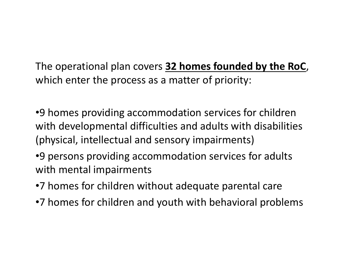The operational plan covers **32 homes founded by the RoC**, which enter the process as a matter of priority:

•9 homes providing accommodation services for children with developmental difficulties and adults with disabilities (physical, intellectual and sensory impairments)

•9 persons providing accommodation services for adults with mental impairments

- •7 homes for children without adequate parental care
- •7 homes for children and youth with behavioral problems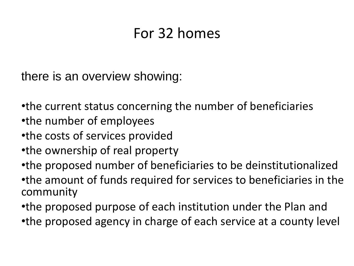# For 32 homes

there is an overview showing:

•the current status concerning the number of beneficiaries •the number of employees

- •the costs of services provided
- •the ownership of real property
- •the proposed number of beneficiaries to be deinstitutionalized

•the amount of funds required for services to beneficiaries in the community

•the proposed purpose of each institution under the Plan and •the proposed agency in charge of each service at a county level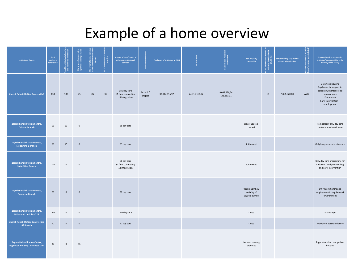# Example of a home overview

| <b>Institution/ County</b>                                                | Total<br>number of<br>beneficiaries | Ξ            | $\mathbf{\tilde{s}}$ | eficiaries from t<br>are the institution<br>located<br>of bei<br>tv wh |    | <b>Number of beneficiaries of</b><br>other non-institutional<br>services |                       | Total costs of institution in 2013 |               | ial costs / ad<br>Investment | <b>Real property</b><br>ownership              | Ĕ  | Annual funding required for<br>deinstitutionalization | rpose of institutio<br>i <u>on form A, B,</u> C, D | Proposed services to be under<br>institution's responsibility in the<br>territory of the county                                               |
|---------------------------------------------------------------------------|-------------------------------------|--------------|----------------------|------------------------------------------------------------------------|----|--------------------------------------------------------------------------|-----------------------|------------------------------------|---------------|------------------------------|------------------------------------------------|----|-------------------------------------------------------|----------------------------------------------------|-----------------------------------------------------------------------------------------------------------------------------------------------|
| Zagreb Rehabilitation Centre / CoZ                                        | 633                                 | 108          | 45                   | 122                                                                    | 31 | 386 day care<br>81 fam. counselling<br>13 integration                    | $241 + 6/$<br>project | 33.944.815,97                      | 24.711.166,22 | 9.092.296,74<br>141.353,01   |                                                | 88 | 7.861.920,00                                          | AiB                                                | Organised housing<br>Psycho-social support to<br>persons with intellectual<br>impairments<br>Foster care<br>Early intervention-<br>employment |
| Zagreb Rehabilitation Centre,<br><b>Orlovac branch</b>                    | 91                                  | 63           | $\mathbf 0$          |                                                                        |    | 28 day care                                                              |                       |                                    |               |                              | City of Zagreb-<br>owned                       |    |                                                       |                                                    | Temporarily only day care<br>centre - possible closure                                                                                        |
| Zagreb Rehabilitation Centre,<br>Sloboština 2 branch                      | 98                                  | 45           | $\mathbf 0$          |                                                                        |    | 53 day care                                                              |                       |                                    |               |                              | RoC-owned                                      |    |                                                       |                                                    | Only long-term intensive care                                                                                                                 |
| <b>Zagreb Rehabilitation Centre,</b><br>Sloboština Branch                 | 180                                 | $\mathbf 0$  | $\mathbf 0$          |                                                                        |    | 86 day care<br>81 fam. counselling<br>13 integration                     |                       |                                    |               |                              | RoC-owned                                      |    |                                                       |                                                    | Only day care programme for<br>children, family counselling<br>and early intervention                                                         |
| Zagreb Rehabilitation Centre,<br><b>Paunovac Branch</b>                   | 36                                  | $\mathbf{0}$ | $\mathbf 0$          |                                                                        |    | 36 day care                                                              |                       |                                    |               |                              | Presumably RoC-<br>and City of<br>Zagreb-owned |    |                                                       |                                                    | Only Work Centre and<br>employment in regular work<br>environment                                                                             |
| Zagreb Rehabilitation Centre,<br><b>Dislocated Unti Ilica 223</b>         | 163                                 | $\mathsf 0$  | $\mathsf{O}$         |                                                                        |    | 163 day care                                                             |                       |                                    |               |                              | Lease                                          |    |                                                       |                                                    | Workshops                                                                                                                                     |
| Zagreb Rehabilitation Centre, Ilica<br>83 Branch                          | $20\,$                              | $\mathbf 0$  | $\mathbf 0$          |                                                                        |    | 20 day care                                                              |                       |                                    |               |                              | Lease                                          |    |                                                       |                                                    | Workshop-possible closure                                                                                                                     |
| Zagreb Rehabilitation Centre,<br><b>Organised Housing Dislocated Unit</b> | 45                                  | $\mathbf 0$  | 45                   |                                                                        |    |                                                                          |                       |                                    |               |                              | Lease of housing<br>premises                   |    |                                                       |                                                    | Support service to organised<br>housing                                                                                                       |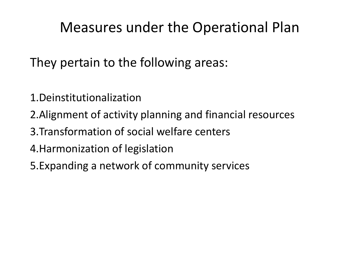# Measures under the Operational Plan

They pertain to the following areas:

- 1.Deinstitutionalization
- 2.Alignment of activity planning and financial resources
- 3.Transformation of social welfare centers
- 4.Harmonization of legislation
- 5.Expanding a network of community services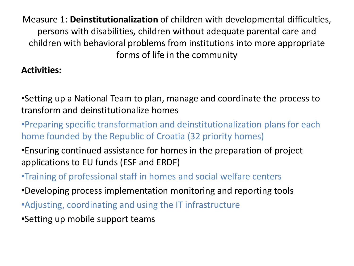Measure 1: **Deinstitutionalization** of children with developmental difficulties, persons with disabilities, children without adequate parental care and children with behavioral problems from institutions into more appropriate forms of life in the community

#### **Activities:**

•Setting up a National Team to plan, manage and coordinate the process to transform and deinstitutionalize homes

•Preparing specific transformation and deinstitutionalization plans for each home founded by the Republic of Croatia (32 priority homes)

- •Ensuring continued assistance for homes in the preparation of project applications to EU funds (ESF and ERDF)
- •Training of professional staff in homes and social welfare centers
- •Developing process implementation monitoring and reporting tools
- •Adjusting, coordinating and using the IT infrastructure
- •Setting up mobile support teams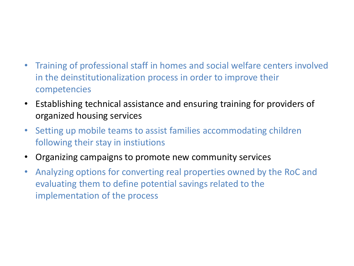### • Training of professional staff in homes and social welfare centers involved in the deinstitutionalization process in order to improve their competencies

- Establishing technical assistance and ensuring training for providers of organized housing services
- Setting up mobile teams to assist families accommodating children following their stay in instiutions
- Organizing campaigns to promote new community services
- Analyzing options for converting real properties owned by the RoC and evaluating them to define potential savings related to the implementation of the process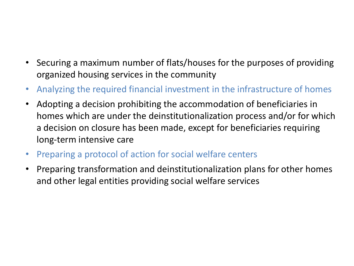- Securing a maximum number of flats/houses for the purposes of providing organized housing services in the community
- Analyzing the required financial investment in the infrastructure of homes
- Adopting a decision prohibiting the accommodation of beneficiaries in homes which are under the deinstitutionalization process and/or for which a decision on closure has been made, except for beneficiaries requiring long-term intensive care
- Preparing a protocol of action for social welfare centers
- Preparing transformation and deinstitutionalization plans for other homes and other legal entities providing social welfare services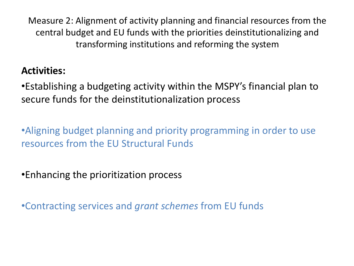Measure 2: Alignment of activity planning and financial resources from the central budget and EU funds with the priorities deinstitutionalizing and transforming institutions and reforming the system

### **Activities:**

•Establishing a budgeting activity within the MSPY's financial plan to secure funds for the deinstitutionalization process

•Aligning budget planning and priority programming in order to use resources from the EU Structural Funds

•Enhancing the prioritization process

•Contracting services and *grant schemes* from EU funds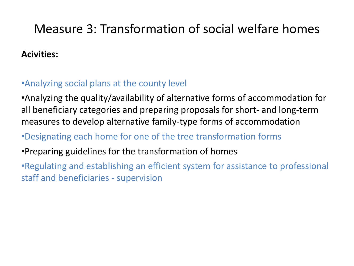## Measure 3: Transformation of social welfare homes

#### **Acivities:**

#### •Analyzing social plans at the county level

•Analyzing the quality/availability of alternative forms of accommodation for all beneficiary categories and preparing proposals for short- and long-term measures to develop alternative family-type forms of accommodation

### •Designating each home for one of the tree transformation forms

### •Preparing guidelines for the transformation of homes

•Regulating and establishing an efficient system for assistance to professional staff and beneficiaries - supervision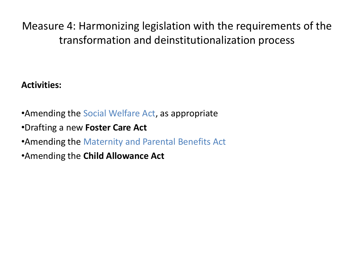Measure 4: Harmonizing legislation with the requirements of the transformation and deinstitutionalization process

#### **Activities:**

- •Amending the Social Welfare Act, as appropriate
- •Drafting a new **Foster Care Act**
- •Amending the Maternity and Parental Benefits Act
- •Amending the **Child Allowance Act**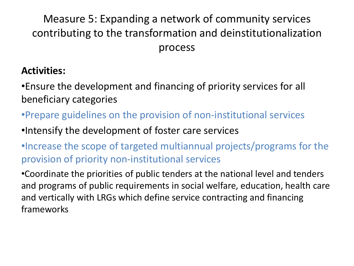## Measure 5: Expanding a network of community services contributing to the transformation and deinstitutionalization process

### **Activities:**

•Ensure the development and financing of priority services for all beneficiary categories

- •Prepare guidelines on the provision of non-institutional services
- •Intensify the development of foster care services
- •Increase the scope of targeted multiannual projects/programs for the provision of priority non-institutional services

•Coordinate the priorities of public tenders at the national level and tenders and programs of public requirements in social welfare, education, health care and vertically with LRGs which define service contracting and financing frameworks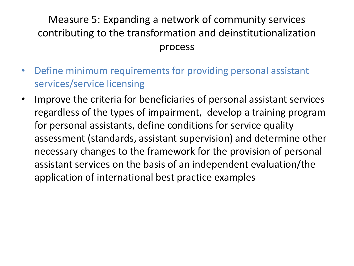## Measure 5: Expanding a network of community services contributing to the transformation and deinstitutionalization process

- Define minimum requirements for providing personal assistant services/service licensing
- Improve the criteria for beneficiaries of personal assistant services regardless of the types of impairment, develop a training program for personal assistants, define conditions for service quality assessment (standards, assistant supervision) and determine other necessary changes to the framework for the provision of personal assistant services on the basis of an independent evaluation/the application of international best practice examples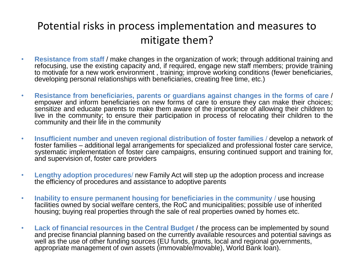## Potential risks in process implementation and measures to mitigate them?

- **Resistance from staff** / make changes in the organization of work; through additional training and refocusing, use the existing capacity and, if required, engage new staff members; provide training to motivate for a new work environment , training; improve working conditions (fewer beneficiaries, developing personal relationships with beneficiaries, creating free time, etc.)
- **Resistance from beneficiaries, parents or guardians against changes in the forms of care** / empower and inform beneficiaries on new forms of care to ensure they can make their choices; sensitize and educate parents to make them aware of the importance of allowing their children to live in the community; to ensure their participation in process of relocating their children to the community and their life in the community
- **Insufficient number and uneven regional distribution of foster families** / develop a network of foster families – additional legal arrangements for specialized and professional foster care service, systematic implementation of foster care campaigns, ensuring continued support and training for, and supervision of, foster care providers
- **Lengthy adoption procedures**/ new Family Act will step up the adoption process and increase the efficiency of procedures and assistance to adoptive parents
- **Inability to ensure permanent housing for beneficiaries in the community** / use housing facilities owned by social welfare centers, the RoC and municipalities; possible use of inherited housing; buying real properties through the sale of real properties owned by homes etc.
- **Lack of financial resources in the Central Budget** / the process can be implemented by sound and precise financial planning based on the currently available resources and potential savings as well as the use of other funding sources (EU funds, grants, local and regional governments, appropriate management of own assets (immovable/movable), World Bank loan).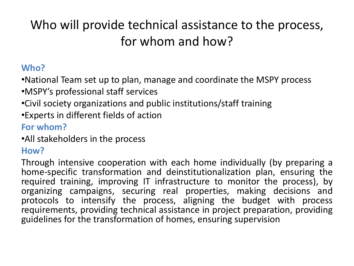# Who will provide technical assistance to the process, for whom and how?

### **Who?**

•National Team set up to plan, manage and coordinate the MSPY process

- •MSPY's professional staff services
- •Civil society organizations and public institutions/staff training
- •Experts in different fields of action

### **For whom?**

•All stakeholders in the process

### **How?**

Through intensive cooperation with each home individually (by preparing a home-specific transformation and deinstitutionalization plan, ensuring the required training, improving IT infrastructure to monitor the process), by organizing campaigns, securing real properties, making decisions and protocols to intensify the process, aligning the budget with process requirements, providing technical assistance in project preparation, providing guidelines for the transformation of homes, ensuring supervision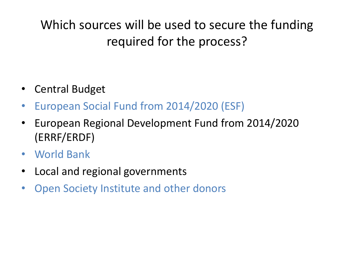# Which sources will be used to secure the funding required for the process?

- Central Budget
- European Social Fund from 2014/2020 (ESF)
- European Regional Development Fund from 2014/2020 (ERRF/ERDF)
- World Bank
- Local and regional governments
- Open Society Institute and other donors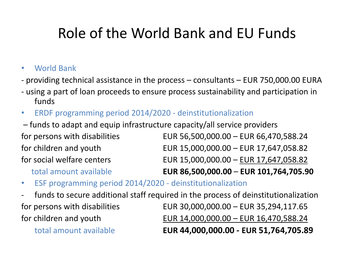# Role of the World Bank and EU Funds

#### • World Bank

- providing technical assistance in the process consultants EUR 750,000.00 EURA
- using a part of loan proceeds to ensure process sustainability and participation in funds
- ERDF programming period 2014/2020 deinstitutionalization
- funds to adapt and equip infrastructure capacity/all service providers for persons with disabilities EUR 56,500,000.00 – EUR 66,470,588.24 for children and youth EUR 15,000,000.00 – EUR 17,647,058.82 for social welfare centers EUR 15,000,000.00 – EUR 17,647,058.82

total amount available **EUR 86,500,000.00** – **EUR 101,764,705.90**

- ESF programming period 2014/2020 deinstitutionalization
- funds to secure additional staff required in the process of deinstitutionalization for persons with disabilities EUR 30,000,000.00 – EUR 35,294,117.65 for children and youth EUR 14,000,000.00 – EUR 16,470,588.24 total amount available **EUR 44,000,000.00 - EUR 51,764,705.89**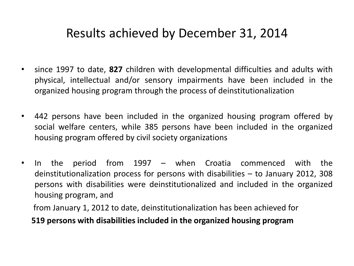## Results achieved by December 31, 2014

- since 1997 to date, **827** children with developmental difficulties and adults with physical, intellectual and/or sensory impairments have been included in the organized housing program through the process of deinstitutionalization
- 442 persons have been included in the organized housing program offered by social welfare centers, while 385 persons have been included in the organized housing program offered by civil society organizations
- In the period from 1997 when Croatia commenced with the deinstitutionalization process for persons with disabilities – to January 2012, 308 persons with disabilities were deinstitutionalized and included in the organized housing program, and

from January 1, 2012 to date, deinstitutionalization has been achieved for

**519 persons with disabilities included in the organized housing program**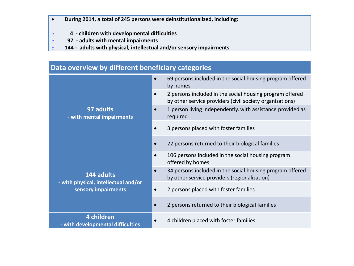#### **During 2014, a total of 245 persons were deinstitutionalized, including:**

- o **4 - children with developmental difficulties**
- o **97 - adults with mental impairments**
- o **144 - adults with physical, intellectual and/or sensory impairments**

| Data overview by different beneficiary categories           |                                                                                                                      |  |  |  |
|-------------------------------------------------------------|----------------------------------------------------------------------------------------------------------------------|--|--|--|
|                                                             | 69 persons included in the social housing program offered<br>$\bullet$<br>by homes                                   |  |  |  |
|                                                             | 2 persons included in the social housing program offered<br>by other service providers (civil society organizations) |  |  |  |
| 97 adults<br>- with mental impairments                      | 1 person living independently, with assistance provided as<br>required                                               |  |  |  |
|                                                             | 3 persons placed with foster families<br>$\bullet$                                                                   |  |  |  |
|                                                             | 22 persons returned to their biological families                                                                     |  |  |  |
|                                                             | 106 persons included in the social housing program<br>$\bullet$<br>offered by homes                                  |  |  |  |
| 144 adults                                                  | 34 persons included in the social housing program offered<br>by other service providers (regionalization)            |  |  |  |
| - with physical, intellectual and/or<br>sensory impairments | 2 persons placed with foster families                                                                                |  |  |  |
|                                                             | 2 persons returned to their biological families                                                                      |  |  |  |
| 4 children<br>- with developmental difficulties             | 4 children placed with foster families                                                                               |  |  |  |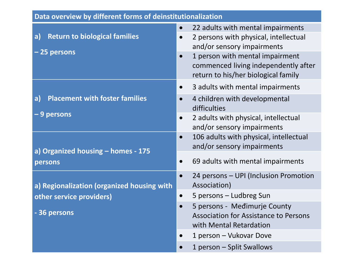| Data overview by different forms of deinstitutionalization |                                                                                                                       |  |  |  |
|------------------------------------------------------------|-----------------------------------------------------------------------------------------------------------------------|--|--|--|
| <b>Return to biological families</b><br>a)                 | 22 adults with mental impairments<br>$\bullet$<br>2 persons with physical, intellectual<br>and/or sensory impairments |  |  |  |
| -25 persons                                                | 1 person with mental impairment<br>commenced living independently after<br>return to his/her biological family        |  |  |  |
|                                                            | 3 adults with mental impairments<br>$\bullet$                                                                         |  |  |  |
| <b>Placement with foster families</b><br>a)                | 4 children with developmental<br>$\bullet$<br>difficulties                                                            |  |  |  |
| - 9 persons                                                | 2 adults with physical, intellectual<br>$\bullet$<br>and/or sensory impairments                                       |  |  |  |
| a) Organized housing - homes - 175                         | 106 adults with physical, intellectual<br>$\bullet$<br>and/or sensory impairments                                     |  |  |  |
| persons                                                    | 69 adults with mental impairments<br>$\bullet$                                                                        |  |  |  |
| a) Regionalization (organized housing with                 | 24 persons - UPI (Inclusion Promotion<br>$\bullet$<br>Association)                                                    |  |  |  |
| other service providers)                                   | 5 persons - Ludbreg Sun<br>$\bullet$                                                                                  |  |  |  |
| - 36 persons                                               | 5 persons - Međimurje County<br><b>Association for Assistance to Persons</b><br>with Mental Retardation               |  |  |  |
|                                                            | 1 person - Vukovar Dove                                                                                               |  |  |  |
|                                                            | 1 person - Split Swallows                                                                                             |  |  |  |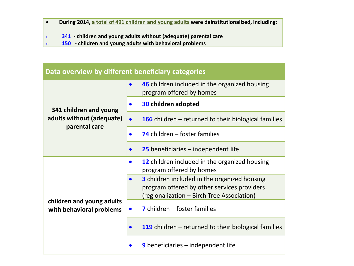- **During 2014, a total of 491 children and young adults were deinstitutionalized, including:**
- o **341 - children and young adults without (adequate) parental care**
- o **150 - children and young adults with behavioral problems**

| Data overview by different beneficiary categories     |                                                                                                                                                  |  |  |  |
|-------------------------------------------------------|--------------------------------------------------------------------------------------------------------------------------------------------------|--|--|--|
|                                                       | 46 children included in the organized housing<br>program offered by homes                                                                        |  |  |  |
| 341 children and young                                | <b>30 children adopted</b>                                                                                                                       |  |  |  |
| adults without (adequate)                             | <b>166</b> children $-$ returned to their biological families<br>$\bullet$                                                                       |  |  |  |
| parental care                                         | 74 children $-$ foster families                                                                                                                  |  |  |  |
|                                                       | <b>25</b> beneficiaries $-$ independent life                                                                                                     |  |  |  |
|                                                       | <b>12</b> children included in the organized housing<br>program offered by homes                                                                 |  |  |  |
|                                                       | <b>3</b> children included in the organized housing<br>program offered by other services providers<br>(regionalization - Birch Tree Association) |  |  |  |
| children and young adults<br>with behavioral problems | $\overline{7}$ children – foster families                                                                                                        |  |  |  |
|                                                       | <b>119</b> children $-$ returned to their biological families                                                                                    |  |  |  |
|                                                       | <b>9</b> beneficiaries $-$ independent life                                                                                                      |  |  |  |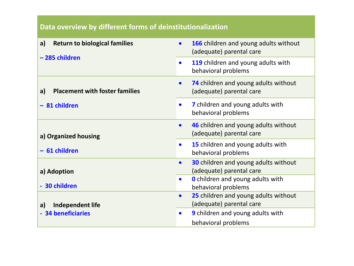#### **Data overview by different forms of deinstitutionalization**

| <b>Return to biological families</b><br>a)  | 166 children and young adults without<br>$\bullet$<br>(adequate) parental care       |
|---------------------------------------------|--------------------------------------------------------------------------------------|
| -285 children                               | 119 children and young adults with<br>$\bullet$<br>behavioral problems               |
| <b>Placement with foster families</b><br>a) | 74 children and young adults without<br>$\bullet$<br>(adequate) parental care        |
| - 81 children                               | 7 children and young adults with<br>$\bullet$<br>behavioral problems                 |
| a) Organized housing                        | 46 children and young adults without<br>$\bullet$<br>(adequate) parental care        |
| - 61 children                               | 15 children and young adults with<br>$\bullet$<br>behavioral problems                |
| a) Adoption                                 | <b>30</b> children and young adults without<br>$\bullet$<br>(adequate) parental care |
| - 30 children                               | <b>O</b> children and young adults with<br>$\bullet$<br>behavioral problems          |
| <b>Independent life</b><br>a)               | 25 children and young adults without<br>$\bullet$<br>(adequate) parental care        |
| - 34 beneficiaries                          | 9 children and young adults with<br>$\bullet$<br>behavioral problems                 |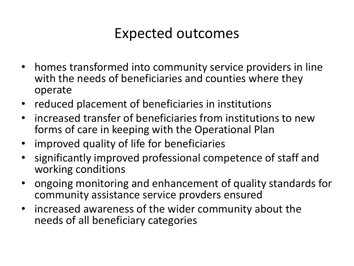# Expected outcomes

- homes transformed into community service providers in line with the needs of beneficiaries and counties where they operate
- reduced placement of beneficiaries in institutions
- increased transfer of beneficiaries from institutions to new forms of care in keeping with the Operational Plan
- improved quality of life for beneficiaries
- significantly improved professional competence of staff and working conditions
- ongoing monitoring and enhancement of quality standards for community assistance service provders ensured
- increased awareness of the wider community about the needs of all beneficiary categories